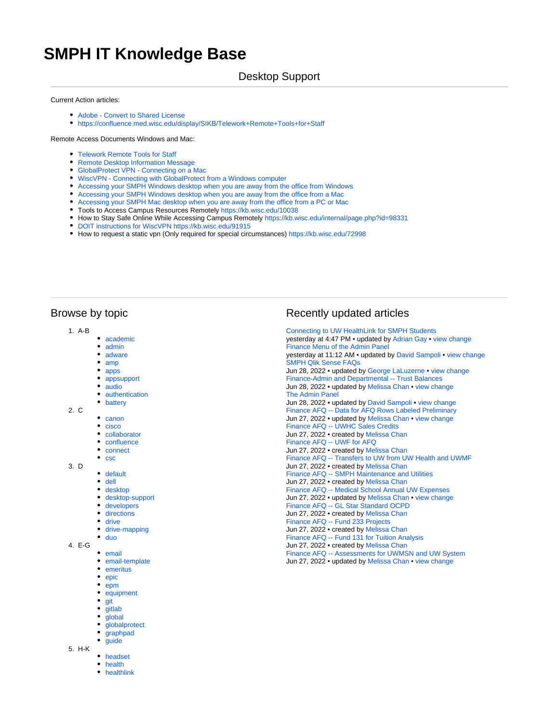# **SMPH IT Knowledge Base**

### Desktop Support

#### Current Action articles:

- [Adobe Convert to Shared License](https://confluence.med.wisc.edu/display/SIKB/Adobe+-+Convert+to+Shared+License)
- <https://confluence.med.wisc.edu/display/SIKB/Telework+Remote+Tools+for+Staff>

#### Remote Access Documents Windows and Mac:

- [Telework Remote Tools for Staff](https://confluence.med.wisc.edu/display/SIKB/Telework+Remote+Tools+for+Staff)
- **[Remote Desktop Information Message](https://confluence.med.wisc.edu/display/SIKB/Remote+Desktop+Information+Message)**
- [GlobalProtect VPN Connecting on a Mac](https://confluence.med.wisc.edu/display/SIKB/GlobalProtect+VPN+-+Connecting+on+a+Mac)
- [WiscVPN Connecting with GlobalProtect from a Windows computer](https://confluence.med.wisc.edu/display/SIKB/WiscVPN+-+Connecting+with+GlobalProtect+from+a+Windows+computer)
- [Accessing your SMPH Windows desktop when you are away from the office from Windows](https://confluence.med.wisc.edu/display/SIKB/Accessing+your+SMPH+Windows+desktop+when+you+are+away+from+the+office+from+Windows)
- [Accessing your SMPH Windows desktop when you are away from the office from a Mac](https://confluence.med.wisc.edu/display/SIKB/Accessing+your+SMPH+Windows+desktop+when+you+are+away+from+the+office+from+a+Mac)
- [Accessing your SMPH Mac desktop when you are away from the office from a PC or Mac](https://confluence.med.wisc.edu/display/SIKB/Accessing+your+SMPH+Mac+desktop+when+you+are+away+from+the+office+from+a+PC+or+Mac)
- Tools to Access Campus Resources Remotely<https://kb.wisc.edu/10038>
- How to Stay Safe Online While Accessing Campus Remotely<https://kb.wisc.edu/internal/page.php?id=98331>
- [DOIT instructions for WiscVPN https://kb.wisc.edu/91915](https://kb.wisc.edu/91915)
- How to request a static vpn (Only required for special circumstances)<https://kb.wisc.edu/72998>

## Browse by topic

- 1. A-B
	- [academic](https://confluence.med.wisc.edu/label/SIKB/academic)
	- [admin](https://confluence.med.wisc.edu/label/SIKB/admin)
	- [adware](https://confluence.med.wisc.edu/label/SIKB/adware)
	- [amp](https://confluence.med.wisc.edu/label/SIKB/amp)
	- [apps](https://confluence.med.wisc.edu/label/SIKB/apps)
	- [appsupport](https://confluence.med.wisc.edu/label/SIKB/appsupport)
	- [audio](https://confluence.med.wisc.edu/label/SIKB/audio)
	- [authentication](https://confluence.med.wisc.edu/label/SIKB/authentication)
	- [battery](https://confluence.med.wisc.edu/label/SIKB/battery)
- 2. C
- [canon](https://confluence.med.wisc.edu/label/SIKB/canon)
- $\bullet$  [cisco](https://confluence.med.wisc.edu/label/SIKB/cisco)
- [collaborator](https://confluence.med.wisc.edu/label/SIKB/collaborator)
- $\bullet$  [confluence](https://confluence.med.wisc.edu/label/SIKB/confluence)
- [connect](https://confluence.med.wisc.edu/label/SIKB/connect)
- $\bullet$ [csc](https://confluence.med.wisc.edu/label/SIKB/csc)
- 3. D
	- [default](https://confluence.med.wisc.edu/label/SIKB/default)
	- [dell](https://confluence.med.wisc.edu/label/SIKB/dell) • [desktop](https://confluence.med.wisc.edu/label/SIKB/desktop)
	-
	- [desktop-support](https://confluence.med.wisc.edu/label/SIKB/desktop-support) • [developers](https://confluence.med.wisc.edu/label/SIKB/developers)
	- [directions](https://confluence.med.wisc.edu/label/SIKB/directions)
	-
	- [drive](https://confluence.med.wisc.edu/label/SIKB/drive)
	- [drive-mapping](https://confluence.med.wisc.edu/label/SIKB/drive-mapping)
	- [duo](https://confluence.med.wisc.edu/label/SIKB/duo)
- 4. E-G
	- [email](https://confluence.med.wisc.edu/label/SIKB/email)
	- [email-template](https://confluence.med.wisc.edu/label/SIKB/email-template) [emeritus](https://confluence.med.wisc.edu/label/SIKB/emeritus)
	-
	- [epic](https://confluence.med.wisc.edu/label/SIKB/epic)
	- [epm](https://confluence.med.wisc.edu/label/SIKB/epm)
	- [equipment](https://confluence.med.wisc.edu/label/SIKB/equipment)
	- [git](https://confluence.med.wisc.edu/label/SIKB/git)
	- [gitlab](https://confluence.med.wisc.edu/label/SIKB/gitlab)
	- [global](https://confluence.med.wisc.edu/label/SIKB/global)
	- [globalprotect](https://confluence.med.wisc.edu/label/SIKB/globalprotect)
	- [graphpad](https://confluence.med.wisc.edu/label/SIKB/graphpad) [guide](https://confluence.med.wisc.edu/label/SIKB/guide)
	-
- 5. H-K
	- [headset](https://confluence.med.wisc.edu/label/SIKB/headset) [health](https://confluence.med.wisc.edu/label/SIKB/health)
	-
	- [healthlink](https://confluence.med.wisc.edu/label/SIKB/healthlink)

# Recently updated articles

[Connecting to UW HealthLink for SMPH Students](https://confluence.med.wisc.edu/display/SIKB/Connecting+to+UW+HealthLink+for+SMPH+Students) yesterday at 4:47 PM • updated by [Adrian Gay](https://confluence.med.wisc.edu/display/~adriang) • [view change](https://confluence.med.wisc.edu/pages/diffpagesbyversion.action?pageId=71239153&selectedPageVersions=8&selectedPageVersions=7) [Finance Menu of the Admin Panel](https://confluence.med.wisc.edu/display/SIKB/Finance+Menu+of+the+Admin+Panel) yesterday at 11:12 AM • updated by [David Sampoli](https://confluence.med.wisc.edu/display/~sampoli) • [view change](https://confluence.med.wisc.edu/pages/diffpagesbyversion.action?pageId=82116835&selectedPageVersions=4&selectedPageVersions=3) [SMPH Qlik Sense FAQs](https://confluence.med.wisc.edu/display/SIKB/SMPH+Qlik+Sense+FAQs) Jun 28, 2022 • updated by [George LaLuzerne](https://confluence.med.wisc.edu/display/~glaluzerne) • [view change](https://confluence.med.wisc.edu/pages/diffpagesbyversion.action?pageId=26476862&selectedPageVersions=31&selectedPageVersions=30) [Finance-Admin and Departmental -- Trust Balances](https://confluence.med.wisc.edu/display/SIKB/Finance-Admin+and+Departmental+--+Trust+Balances) Jun 28, 2022 • updated by [Melissa Chan](https://confluence.med.wisc.edu/display/~chan2) • [view change](https://confluence.med.wisc.edu/pages/diffpagesbyversion.action?pageId=82116822&selectedPageVersions=3&selectedPageVersions=2) [The Admin Panel](https://confluence.med.wisc.edu/display/SIKB/The+Admin+Panel) Jun 28, 2022 • updated by [David Sampoli](https://confluence.med.wisc.edu/display/~sampoli) • [view change](https://confluence.med.wisc.edu/pages/diffpagesbyversion.action?pageId=71237905&selectedPageVersions=25&selectedPageVersions=24) [Finance AFQ -- Data for AFQ Rows Labeled Preliminary](https://confluence.med.wisc.edu/display/SIKB/Finance+AFQ+--+Data+for+AFQ+Rows+Labeled+Preliminary) Jun 27, 2022 • updated by [Melissa Chan](https://confluence.med.wisc.edu/display/~chan2) • [view change](https://confluence.med.wisc.edu/pages/diffpagesbyversion.action?pageId=82116803&selectedPageVersions=2&selectedPageVersions=1) [Finance AFQ -- UWHC Sales Credits](https://confluence.med.wisc.edu/display/SIKB/Finance+AFQ+--+UWHC+Sales+Credits) Jun 27, 2022 • created by [Melissa Chan](https://confluence.med.wisc.edu/display/~chan2) [Finance AFQ -- UWF for AFQ](https://confluence.med.wisc.edu/display/SIKB/Finance+AFQ+--+UWF+for+AFQ) Jun 27, 2022 • created by [Melissa Chan](https://confluence.med.wisc.edu/display/~chan2) [Finance AFQ -- Transfers to UW from UW Health and UWMF](https://confluence.med.wisc.edu/display/SIKB/Finance+AFQ+--+Transfers+to+UW+from+UW+Health+and+UWMF) Jun 27, 2022 • created by [Melissa Chan](https://confluence.med.wisc.edu/display/~chan2) [Finance AFQ -- SMPH Maintenance and Utilities](https://confluence.med.wisc.edu/display/SIKB/Finance+AFQ+--+SMPH+Maintenance+and+Utilities) Jun 27, 2022 • created by [Melissa Chan](https://confluence.med.wisc.edu/display/~chan2) [Finance AFQ -- Medical School Annual UW Expenses](https://confluence.med.wisc.edu/display/SIKB/Finance+AFQ+--+Medical+School+Annual+UW+Expenses) Jun 27, 2022 • updated by [Melissa Chan](https://confluence.med.wisc.edu/display/~chan2) • [view change](https://confluence.med.wisc.edu/pages/diffpagesbyversion.action?pageId=82116811&selectedPageVersions=2&selectedPageVersions=1) [Finance AFQ -- GL Star Standard OCPD](https://confluence.med.wisc.edu/display/SIKB/Finance+AFQ+--+GL+Star+Standard+OCPD) Jun 27, 2022 • created by [Melissa Chan](https://confluence.med.wisc.edu/display/~chan2) [Finance AFQ -- Fund 233 Projects](https://confluence.med.wisc.edu/display/SIKB/Finance+AFQ+--+Fund+233+Projects) Jun 27, 2022 • created by [Melissa Chan](https://confluence.med.wisc.edu/display/~chan2) [Finance AFQ -- Fund 131 for Tuition Analysis](https://confluence.med.wisc.edu/display/SIKB/Finance+AFQ+--+Fund+131+for+Tuition+Analysis) Jun 27, 2022 • created by [Melissa Chan](https://confluence.med.wisc.edu/display/~chan2) [Finance AFQ -- Assessments for UWMSN and UW System](https://confluence.med.wisc.edu/display/SIKB/Finance+AFQ+--+Assessments+for+UWMSN+and+UW+System) Jun 27, 2022 • updated by [Melissa Chan](https://confluence.med.wisc.edu/display/~chan2) • [view change](https://confluence.med.wisc.edu/pages/diffpagesbyversion.action?pageId=82116791&selectedPageVersions=4&selectedPageVersions=3)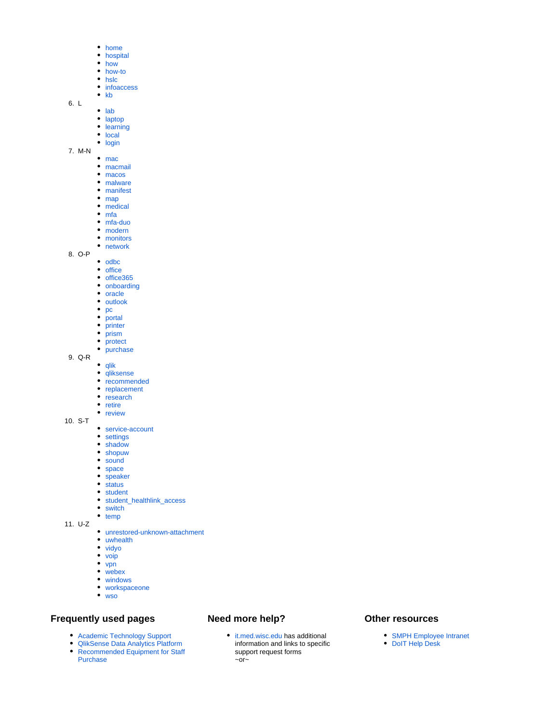- [home](https://confluence.med.wisc.edu/label/SIKB/home)
- [hospital](https://confluence.med.wisc.edu/label/SIKB/hospital)
- [how](https://confluence.med.wisc.edu/label/SIKB/how)
- [how-to](https://confluence.med.wisc.edu/label/SIKB/how-to)
- [hslc](https://confluence.med.wisc.edu/label/SIKB/hslc)
- [infoaccess](https://confluence.med.wisc.edu/label/SIKB/infoaccess)  $\bullet$  [kb](https://confluence.med.wisc.edu/label/SIKB/kb)
- 6. L
	- $\cdot$  [lab](https://confluence.med.wisc.edu/label/SIKB/lab)
		- [laptop](https://confluence.med.wisc.edu/label/SIKB/laptop)
		- [learning](https://confluence.med.wisc.edu/label/SIKB/learning)
		- [local](https://confluence.med.wisc.edu/label/SIKB/local)
		- [login](https://confluence.med.wisc.edu/label/SIKB/login)
- 7. M-N
	- [mac](https://confluence.med.wisc.edu/label/SIKB/mac)
		- [macmail](https://confluence.med.wisc.edu/label/SIKB/macmail)
		- [macos](https://confluence.med.wisc.edu/label/SIKB/macos)
		- [malware](https://confluence.med.wisc.edu/label/SIKB/malware) • [manifest](https://confluence.med.wisc.edu/label/SIKB/manifest)
		-
		- $\bullet$  [map](https://confluence.med.wisc.edu/label/SIKB/map) • [medical](https://confluence.med.wisc.edu/label/SIKB/medical)
		- $\bullet$  [mfa](https://confluence.med.wisc.edu/label/SIKB/mfa)
		- [mfa-duo](https://confluence.med.wisc.edu/label/SIKB/mfa-duo)
		- [modern](https://confluence.med.wisc.edu/label/SIKB/modern)
		- [monitors](https://confluence.med.wisc.edu/label/SIKB/monitors)
		- [network](https://confluence.med.wisc.edu/label/SIKB/network)
- 8. O-P
- [odbc](https://confluence.med.wisc.edu/label/SIKB/odbc)
- $\bullet$  [office](https://confluence.med.wisc.edu/label/SIKB/office)
- [office365](https://confluence.med.wisc.edu/label/SIKB/office365)
- [onboarding](https://confluence.med.wisc.edu/label/SIKB/onboarding)
- [oracle](https://confluence.med.wisc.edu/label/SIKB/oracle)
- $\bullet$  [outlook](https://confluence.med.wisc.edu/label/SIKB/outlook)
- $\bullet$  [pc](https://confluence.med.wisc.edu/label/SIKB/pc)
- $\bullet$ [portal](https://confluence.med.wisc.edu/label/SIKB/portal)
- [printer](https://confluence.med.wisc.edu/label/SIKB/printer)
- [prism](https://confluence.med.wisc.edu/label/SIKB/prism)
- [protect](https://confluence.med.wisc.edu/label/SIKB/protect)
- [purchase](https://confluence.med.wisc.edu/label/SIKB/purchase)
- 9. Q-R  $\bullet$  [qlik](https://confluence.med.wisc.edu/label/SIKB/qlik)
	-
	- [qliksense](https://confluence.med.wisc.edu/label/SIKB/qliksense) • [recommended](https://confluence.med.wisc.edu/label/SIKB/recommended)
	- [replacement](https://confluence.med.wisc.edu/label/SIKB/replacement)
	-
	- [research](https://confluence.med.wisc.edu/label/SIKB/research) • [retire](https://confluence.med.wisc.edu/label/SIKB/retire)
	- [review](https://confluence.med.wisc.edu/label/SIKB/review)
- 10. S-T
	- [service-account](https://confluence.med.wisc.edu/label/SIKB/service-account)
	- [settings](https://confluence.med.wisc.edu/label/SIKB/settings)
	- [shadow](https://confluence.med.wisc.edu/label/SIKB/shadow)
	- [shopuw](https://confluence.med.wisc.edu/label/SIKB/shopuw)
	- [sound](https://confluence.med.wisc.edu/label/SIKB/sound)
	- [space](https://confluence.med.wisc.edu/label/SIKB/space)
	- [speaker](https://confluence.med.wisc.edu/label/SIKB/speaker)
	- $\bullet$  [status](https://confluence.med.wisc.edu/label/SIKB/status)
	- [student](https://confluence.med.wisc.edu/label/SIKB/student)
	- [student\\_healthlink\\_access](https://confluence.med.wisc.edu/label/SIKB/student_healthlink_access)
	- [switch](https://confluence.med.wisc.edu/label/SIKB/switch)
- 11. U-Z  $\bullet$  [temp](https://confluence.med.wisc.edu/label/SIKB/temp)
	- [unrestored-unknown-attachment](https://confluence.med.wisc.edu/label/SIKB/unrestored-unknown-attachment)
	- [uwhealth](https://confluence.med.wisc.edu/label/SIKB/uwhealth)
	- [vidyo](https://confluence.med.wisc.edu/label/SIKB/vidyo)
	- [voip](https://confluence.med.wisc.edu/label/SIKB/voip)
	- $\bullet$  [vpn](https://confluence.med.wisc.edu/label/SIKB/vpn)
	- [webex](https://confluence.med.wisc.edu/label/SIKB/webex)
	- [windows](https://confluence.med.wisc.edu/label/SIKB/windows)
	- [workspaceone](https://confluence.med.wisc.edu/label/SIKB/workspaceone)
	- [wso](https://confluence.med.wisc.edu/label/SIKB/wso)

#### **Frequently used pages**

- [Academic Technology Support](https://confluence.med.wisc.edu/display/SIKB/Academic+Technology)
- [QlikSense Data Analytics Platform](https://confluence.med.wisc.edu/pages/viewpage.action?pageId=14123168)
- Recommended Equipment for Staff [Purchase](https://confluence.med.wisc.edu/display/SIKB/SMPH+Administration+-+Recommended+PRINTERS+for+staff+purchase)

# **Need more help?**

[it.med.wisc.edu](https://it.med.wisc.edu) has additional information and links to specific support request forms  $\sim$ or $\sim$ 

#### **Other resources**

- [SMPH Employee Intranet](https://intranet.med.wisc.edu)
- [DoIT Help Desk](https://it.wisc.edu/services/help-desk/)